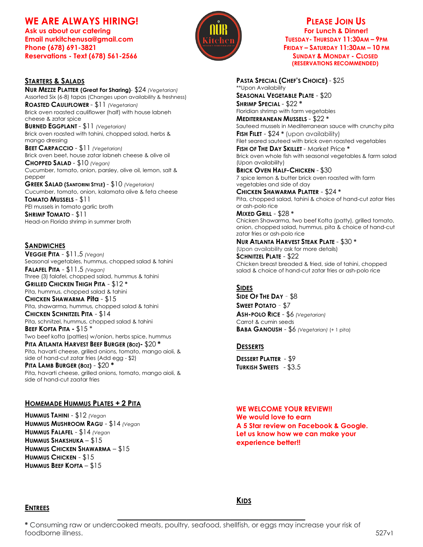# WE ARE ALWAYS HIRING!

Ask us about our catering **For Lunch & Dinner!** Ask us about our catering For Lunch & Dinner! **Email nurkitchenusa@gmail.com TUESDAY- THURSDAY 11:30AM – 9PM Phone (678) 691-3821 FRIDAY – SATURDAY 11:30AM – 10 PM Reservations -** Text (678) 561-2566 SUNDAY **SUNDAY & MONDAY - CLOSED** 



**NUR MEZZE PLATTER (Great For Sharing)**- \$24 *(Vegetarian)* Assorted Six (6-8) tapas (Changes upon availability & freshness) **ROASTED CAULIFLOWER** - \$11 *(Vegetarian)* Brick oven roasted cauliflower (half) with house labneh cheese & zatar spice **BURNED EGGPLANT** - \$11 *(Vegetarian)* Brick oven roasted with tahini, chopped salad, herbs & mango dressing **BEET CARPACCIO** - \$11 *(Vegetarian)* Brick oven beet, house zatar labneh cheese & olive oil **CHOPPED SALAD** - \$10 *(Vegan)* Cucumber, tomato, onion, parsley, olive oil, lemon, salt & pepper **GREEK SALAD (SANTORINI STYLE)** - \$10 *(Vegetarian)* Cucumber, tomato, onion, kalamata olive & feta cheese **TOMATO MUSSELS** - \$11 PEI mussels in tomato garlic broth **SHRIMP TOMATO** - \$11

Head-on Florida shrimp in summer broth

### **SANDWICHES**

**VEGGIE PITA** - \$11.5 *(Vegan)* Seasonal vegetables, hummus, chopped salad & tahini **FALAFEL PITA** - \$11.5 *(Vegan)* Three (3) falafel, chopped salad, hummus & tahini **GRILLED CHICKEN THIGH PITA** - \$12 **\*** Pita, hummus, chopped salad & tahini **CHICKEN SHAWARMA Pita** - \$15 Pita, shawarma, hummus, chopped salad & tahini **CHICKEN SCHNITZEL PITA** - \$14 Pita, schnitzel, hummus, chopped salad & tahini **BEEF KOFTA PITA -** \$15 \* Two beef kofta (patties) w/onion, herbs spice, hummus **PITA ATLANTA HARVEST BEEF BURGER (8OZ)-** \$20 **\*** Pita, havarti cheese, grilled onions, tomato, mango aioli, & side of hand-cut zatar fries (Add egg - \$2) **PITA LAMB BURGER (8OZ)** - \$20 **\*** Pita, havarti cheese, grilled onions, tomato, mango aioli, & side of hand-cut zaatar fries

### **HOMEMADE HUMMUS PLATES + 2 PITA**

**HUMMUS TAHINI** - \$12 *(Vegan* **HUMMUS MUSHROOM RAGU** - \$14 *(Vegan* **HUMMUS FALAFEL** - \$14 *(Vegan* **HUMMUS SHAKSHUKA** – \$15 **HUMMUS CHICKEN SHAWARMA** – \$15 **HUMMUS CHICKEN** - \$15 **HUMMUS BEEF KOFTA** – \$15



 **(RESERVATIONS RECOMMENDED)**

**PASTA SPECIAL (CHEF'S CHOICE)** - \$25 \*\*Upon Availability **SEASONAL VEGETABLE PLATE** - \$20 **SHRIMP SPECIAL** - \$22 **\*** Floridian shrimp with farm vegetables **MEDITERRANEAN MUSSELS** - \$22 **\*** Sauteed mussels in Mediterranean sauce with crunchy pita **FISH FILET** - \$24 **\*** (upon availability) Filet seared sauteed with brick oven roasted vegetables **FISH OF THE DAY SKILLET** - Market Price **\*** Brick oven whole fish with seasonal vegetables & farm salad (Upon availability) **BRICK OVEN HALF-CHICKEN** - \$30 7 spice lemon & butter brick oven roasted with farm vegetables and side of day

**CHICKEN SHAWARMA PLATTER** - \$24 **\*** Pita, chopped salad, tahini & choice of hand-cut zatar fries or ash-polo rice

**MIXED GRILL** - \$28 **\*** Chicken Shawarma, two beef Kofta (patty), grilled tomato, onion, chopped salad, hummus, pita & choice of hand-cut zatar fries or ash-polo rice

**NUR ATLANTA HARVEST STEAK PLATE** - \$30 **\*** (Upon availability ask for more details) **SCHNITZEL PLATE** - \$22 Chicken breast breaded & fried, side of tahini, chopped salad & choice of hand-cut zatar fries or ash-polo rice

### **SIDES**

**SIDE OF THE DAY** – \$8 **SWEET POTATO** – \$7 **ASH-POLO RICE** - \$6 *(Vegetarian)* Carrot & cumin seeds **BABA GANOUSH** - \$6 *(Vegetarian)* (+ 1 pita)

### **DESSERTS**

**DESSERT PLATTER** - \$9 **TURKISH SWEETS** - \$3.5

**WE WELCOME YOUR REVIEW!! We would love to earn A 5 Star review on Facebook & Google. Let us know how we can make your experience better!!**

### **ENTREES**

**KIDS**

**\_\_\_\_\_\_\_\_\_\_\_\_\_\_\_\_\_\_\_\_\_\_\_\_\_\_\_\_\_\_\_\_\_\_\_\_\_\_\_\_\_\_\_\_\_\_\_\_\_\_\_\_\_\_\_\_\_\_\_\_\_\_\_\_\_\_\_\_**